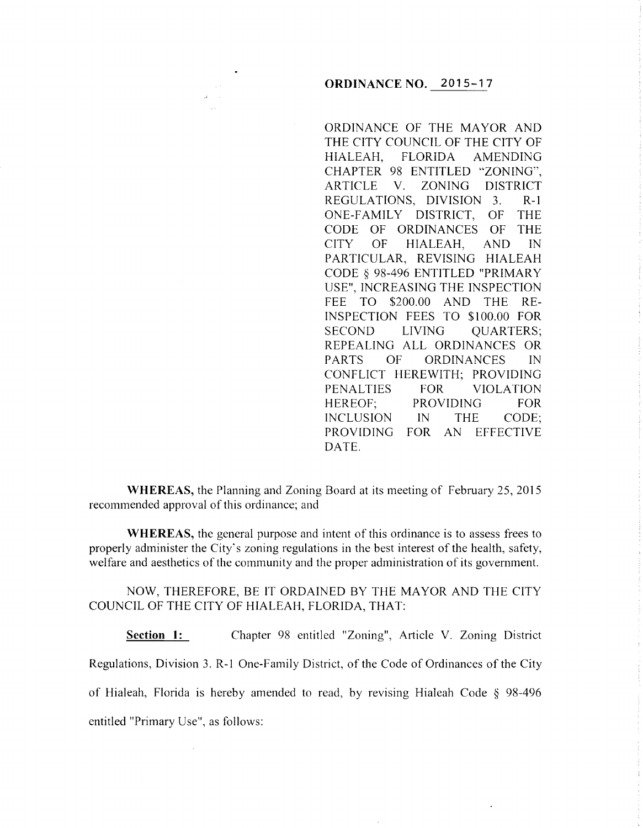## **ORDINANCE NO. 2015-17**

ORDINANCE OF THE MAYOR AND THE CITY COUNCIL OF THE CITY OF HIALEAH, FLORIDA AMENDING CHAPTER 98 ENTITLED "ZONING", ARTICLE V. ZONING DISTRICT REGULATIONS, DIVISION 3. R-1 ONE-FAMILY DISTRICT, OF THE CODE OF ORDINANCES OF THE CITY OF HIALEAH, AND IN PARTICULAR, REVISING HIALEAH CODE § 98-496 ENTITLED "PRIMARY USE", INCREASING THE INSPECTION FEE TO \$200.00 AND THE RE-INSPECTION FEES TO \$100.00 FOR SECOND LIVING OUARTERS; REPEALING ALL ORDINANCES OR PARTS OF ORDINANCES IN CONFLICT HEREWITH; PROVIDING PENALTIES FOR VIOLATION HEREOF; PROVIDING FOR INCLUSION IN THE CODE; PROVIDING FOR AN EFFECTIVE DATE.

**WHEREAS,** the Planning and Zoning Board at its meeting of February 25, 2015 recommended approval of this ordinance; and

**WHEREAS,** the general purpose and intent of this ordinance is to assess frees to properly administer the City's zoning regulations in the best interest of the health, safety, welfare and aesthetics of the community and the proper administration of its government.

NOW, THEREFORE, BE IT ORDAINED BY THE MAYOR AND THE CITY COUNCIL OF THE CITY OF HIALEAH, FLORIDA, THAT:

**Section 1:** Chapter 98 entitled "Zoning", Article V. Zoning District Regulations, Division 3. R-1 One-Family District, of the Code of Ordinances of the City of Hialeah, Florida is hereby amended to read, by revising Hialeah Code § 98-496 entitled "Primary Use", as follows: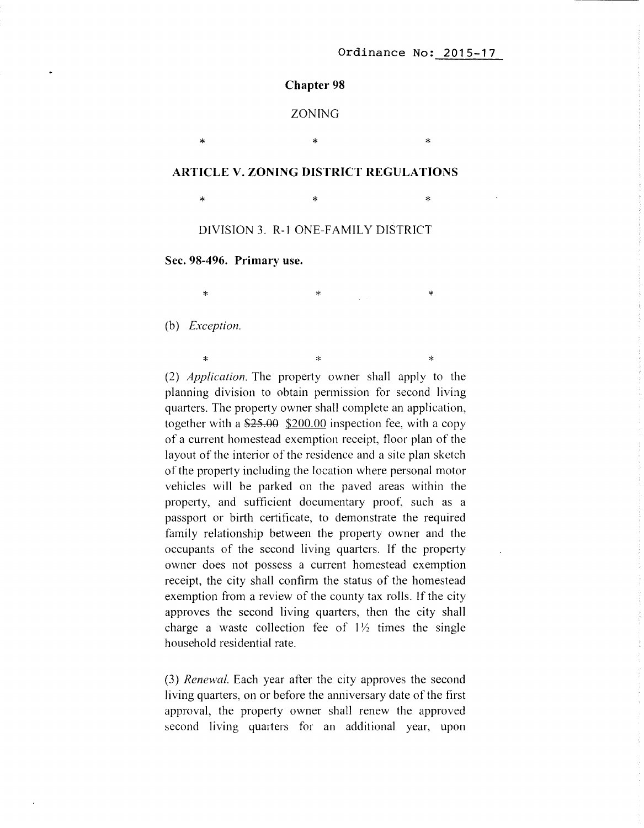#### **Chapter 98**

## ZONING

\* \* \*

### **ARTICLE V. ZONING DISTRICT REGULATIONS**

 $\ast$   $\ast$   $\ast$ 

DIVISION 3. R-1 ONE-FAMILY DISTRICT

**Sec. 98-496. Primary use.** 

 $\ast$   $\ast$   $\ast$   $\ast$ 

(b) *Exception.* 

 $\ast$   $\ast$   $\ast$   $\ast$ (2) *Application.* The property owner shall apply to the planning division to obtain permission for second living quarters. The property owner shall complete an application, together with a  $\frac{$25.00}{$200.00}$  inspection fee, with a copy of a current homestead exemption receipt, floor plan of the layout of the interior of the residence and a site plan sketch of the property including the location where personal motor vehicles will be parked on the paved areas within the property, and sufficient documentary proof, such as a passport or birth certificate, to demonstrate the required family relationship between the property owner and the occupants of the second living quarters. If the property owner does not possess a current homestead exemption receipt, the city shall confirm the status of the homestead exemption from a review of the county tax rolls. If the city approves the second living quarters, then the city shall charge a waste collection fee of  $1\frac{1}{2}$  times the single household residential rate.

(3) *Renewal.* Each year after the city approves the second living quarters, on or before the anniversary date of the first approval, the property owner shall renew the approved second living quarters for an additional year, upon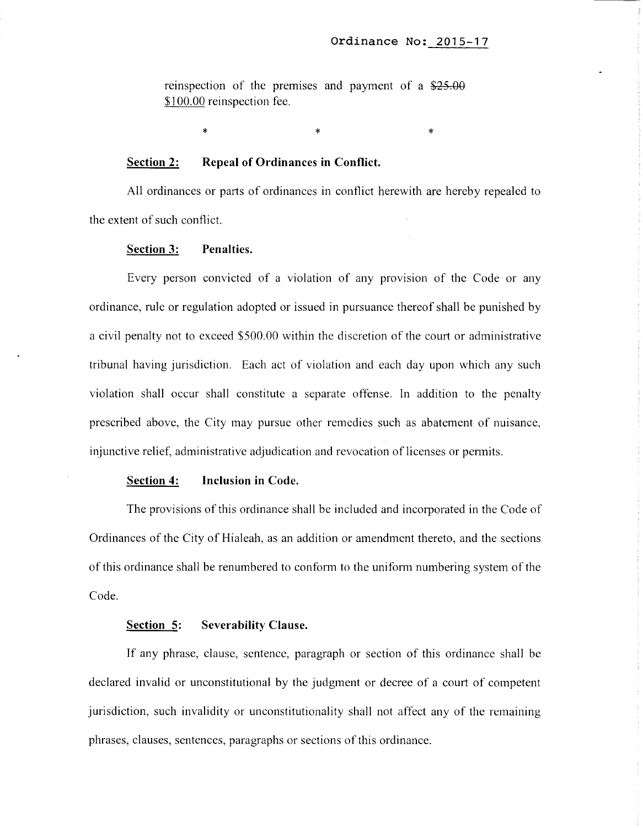reinspection of the premises and payment of a \$25.00 \$100.00 reinspection fee.

\* \* \* \* \* \*

#### **Section 2: Repeal of Ordinances in Conflict.**

All ordinances or parts of ordinances in conflict herewith are hereby repealed to the extent of such conflict.

#### **Section 3: Penalties.**

Every person convicted of a violation of any provision of the Code or any ordinance, rule or regulation adopted or issued in pursuance thereof shall be punished by a civil penalty not to exceed \$500.00 within the discretion of the court or administrative tribunal having jurisdiction. Each act of violation and each day upon which any such violation shall occur shall constitute a separate offense. In addition to the penalty prescribed above, the City may pursue other remedies such as abatement of nuisance, injunctive relief, administrative adjudication and revocation of licenses or permits.

#### **Section 4: Inclusion in Code.**

The provisions of this ordinance shall be included and incorporated in the Code of Ordinances of the City of Hialeah, as an addition or amendment thereto, and the sections of this ordinance shall be renumbered to confonn to the uniform numbering system of the Code.

#### **Section 5: Severability Clause.**

If any phrase, clause, sentence, paragraph or section of this ordinance shall be declared invalid or unconstitutional by the judgment or decree of a court of competent jurisdiction, such invalidity or unconstitutionality shall not affect any of the remaining phrases, clauses, sentences, paragraphs or sections of this ordinance.